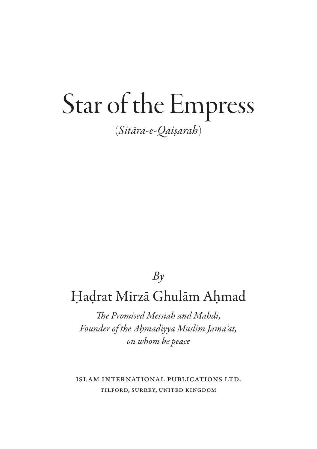## Star of the Empress (*Sitara-e-Qaisarah*)

## *By*

## Hadrat Mirza Ghulam Ahmad

*The Promised Messiah and Mahdi, Founder of the Ahmadiyya Muslim Jama'at, on whom be peace*

Islam International Publications LTD. Tilford, Surrey, united kingdom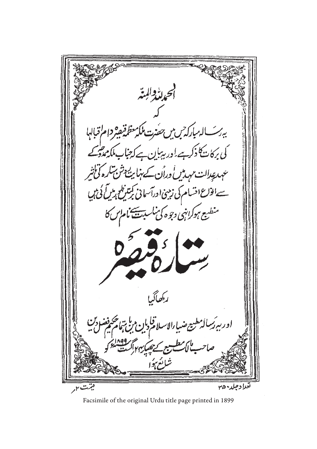ال*ەباركە<sup>ت</sup>رىبى حفزت* كى بركات<sup>ن</sup> كا ذكر ہے ۔<br>كى بركات<sup>ن</sup> كا ذكر ہے <sup>ا</sup>ور بہبان ہے ا جناب *مایی ولی*<br>ایشناب مایی ولی عہدعدالت مہدمیں وران کے ہنا بین<sup>ے دش</sup> بہار کی تی الوّاع اسْسام کی زمینی اورآسانی کمِتنزیلم رمبل کی ہیں یع ہوکراہنی دجوہ کی ساس<del>ب کی</del> مام *س کا* ركمصاكر إدجار

Facsimile of the original Urdu title page printed in 1899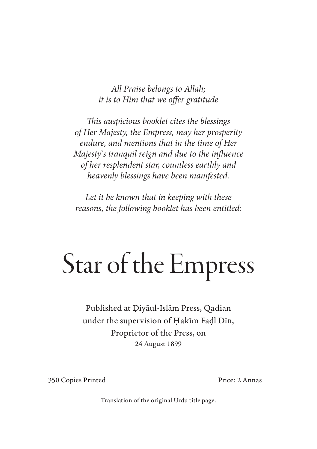*All Praise belongs to Allah; it is to Him that we offer gratitude*

*This auspicious booklet cites the blessings of Her Majesty, the Empress, may her prosperity endure, and mentions that in the time of Her Majesty*'*s tranquil reign and due to the influence of her resplendent star, countless earthly and heavenly blessings have been manifested.*

*Let it be known that in keeping with these reasons, the following booklet has been entitled:*

# Star of the Empress

Published at Diyaul-Islam Press, Qadian under the supervision of Hakim Fadl Din, Proprietor of the Press, on 24 August 1899

350 Copies Printed Price: 2 Annas

Translation of the original Urdu title page.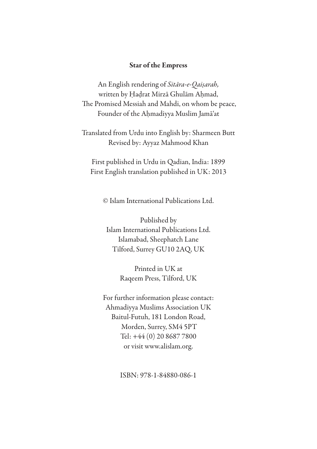#### Star of the Empress

An English rendering of *Sitara-e-Qaisarah,* written by Hadrat Mirza Ghulam Ahmad, The Promised Messiah and Mahdi, on whom be peace, Founder of the Ahmadiyya Muslim Jama'at

Translated from Urdu into English by: Sharmeen Butt Revised by: Ayyaz Mahmood Khan

First published in Urdu in Qadian, India: 1899 First English translation published in UK: 2013

© Islam International Publications Ltd.

Published by Islam International Publications Ltd. Islamabad, Sheephatch Lane Tilford, Surrey GU10 2AQ, UK

> Printed in UK at Raqeem Press, Tilford, UK

For further information please contact: Ahmadiyya Muslims Association UK Baitul-Futuh, 181 London Road, Morden, Surrey, SM4 5PT Tel: +44 (0) 20 8687 7800 or visit www.alislam.org.

ISBN: 978-1-84880-086-1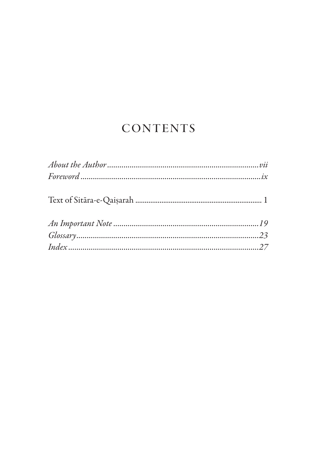## **CONTENTS**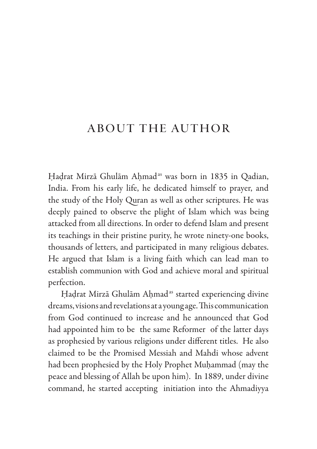## About the Author

Hadrat Mirzā Ghulām Ahmad<sup>as</sup> was born in 1835 in Oadian, India. From his early life, he dedicated himself to prayer, and the study of the Holy Quran as well as other scriptures. He was deeply pained to observe the plight of Islam which was being attacked from all directions. In order to defend Islam and present its teachings in their pristine purity, he wrote ninety-one books, thousands of letters, and participated in many religious debates. He argued that Islam is a living faith which can lead man to establish communion with God and achieve moral and spiritual perfection.

Hadrat Mirzā Ghulām Ahmad<sup>as</sup> started experiencing divine dreams, visions and revelations at a young age. This communication from God continued to increase and he announced that God had appointed him to be the same Reformer of the latter days as prophesied by various religions under different titles. He also claimed to be the Promised Messiah and Mahdi whose advent had been prophesied by the Holy Prophet Muhammad (may the peace and blessing of Allah be upon him). In 1889, under divine command, he started accepting initiation into the Ahmadiyya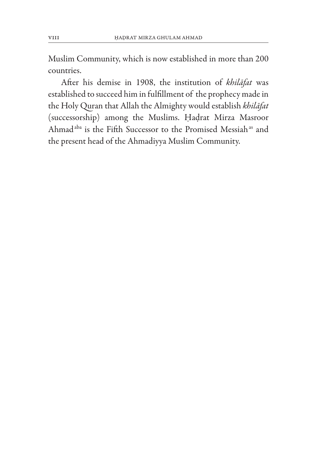Muslim Community, which is now established in more than 200 countries.

After his demise in 1908, the institution of *khilafat* was established to succeed him in fulfillment of the prophecy made in the Holy Quran that Allah the Almighty would establish *khilafat* (successorship) among the Muslims. Hadrat Mirza Masroor Ahmad<sup>aba</sup> is the Fifth Successor to the Promised Messiah<sup>as</sup> and the present head of the Ahmadiyya Muslim Community.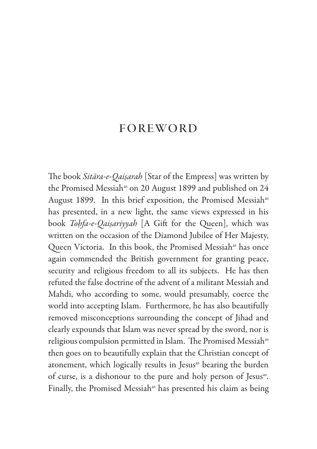### **FOREWORD**

The book *Sitara-e-Qaisarah* [Star of the Empress] was written by the Promised Messiah<sup>as</sup> on 20 August 1899 and published on 24 August 1899. In this brief exposition, the Promised Messiah<sup>as</sup> has presented, in a new light, the same views expressed in his book *Tohfa-e-Qaisariyyah* [A Gift for the Queen], which was written on the occasion of the Diamond Jubilee of Her Majesty, Queen Victoria. In this book, the Promised Messiah<sup>as</sup> has once again commended the British government for granting peace, security and religious freedom to all its subjects. He has then refuted the false doctrine of the advent of a militant Messiah and Mahdi, who according to some, would presumably, coerce the world into accepting Islam. Furthermore, he has also beautifully removed misconceptions surrounding the concept of Jihad and clearly expounds that Islam was never spread by the sword, nor is religious compulsion permitted in Islam. The Promised Messiah<sup>as</sup> then goes on to beautifully explain that the Christian concept of atonement, which logically results in Jesus<sup>as</sup> bearing the burden of curse, is a dishonour to the pure and holy person of Jesus<sup>as</sup>. Finally, the Promised Messiah<sup>as</sup> has presented his claim as being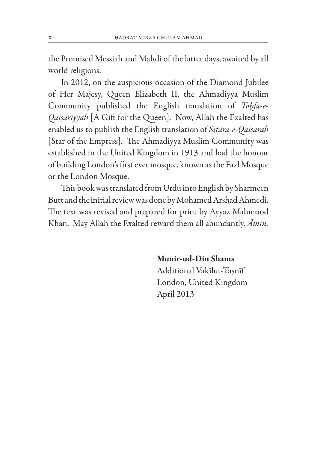the Promised Messiah and Mahdi of the latter days, awaited by all world religions.

In 2012, on the auspicious occasion of the Diamond Jubilee of Her Majesy, Queen Elizabeth II, the Ahmadiyya Muslim Community published the English translation of *Tohfa-e-Qaisariyyah* [A Gift for the Queen]. Now, Allah the Exalted has enabled us to publish the English translation of *Sitara-e-Qaisarah* [Star of the Empress]. The Ahmadiyya Muslim Community was established in the United Kingdom in 1913 and had the honour of building London's first ever mosque, known as the Fazl Mosque or the London Mosque.

This book was translated from Urdu into English by Sharmeen Butt and the initial review was done by Mohamed Arshad Ahmedi. The text was revised and prepared for print by Ayyaz Mahmood Khan. May Allah the Exalted reward them all abundantly. *Amin.*

#### Munir-ud-Din Shams

 Additional Vakilut-Tasnif London, United Kingdom April 2013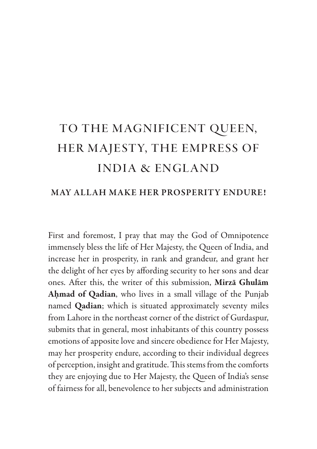## to the magnificent queen, her majesty, the empress of india & england

#### MAY ALLAH MAKE HER PROSPERITY ENDURE!

First and foremost, I pray that may the God of Omnipotence immensely bless the life of Her Majesty, the Queen of India, and increase her in prosperity, in rank and grandeur, and grant her the delight of her eyes by affording security to her sons and dear ones. After this, the writer of this submission, Mirza Ghulam Ahmad of Qadian, who lives in a small village of the Punjab named Qadian; which is situated approximately seventy miles from Lahore in the northeast corner of the district of Gurdaspur, submits that in general, most inhabitants of this country possess emotions of apposite love and sincere obedience for Her Majesty, may her prosperity endure, according to their individual degrees of perception, insight and gratitude. This stems from the comforts they are enjoying due to Her Majesty, the Queen of India's sense of fairness for all, benevolence to her subjects and administration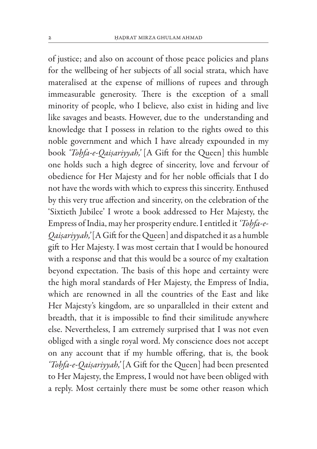of justice; and also on account of those peace policies and plans for the wellbeing of her subjects of all social strata, which have materalised at the expense of millions of rupees and through immeasurable generosity. There is the exception of a small minority of people, who I believe, also exist in hiding and live like savages and beasts. However, due to the understanding and knowledge that I possess in relation to the rights owed to this noble government and which I have already expounded in my book *'Tohfa-e-Qaisariyyah,'* [A Gift for the Queen] this humble one holds such a high degree of sincerity, love and fervour of obedience for Her Majesty and for her noble officials that I do not have the words with which to express this sincerity. Enthused by this very true affection and sincerity, on the celebration of the 'Sixtieth Jubilee' I wrote a book addressed to Her Majesty, the Empress of India, may her prosperity endure. I entitled it *'Tohfa-e-Qaisariyyah,'* [A Gift for the Queen] and dispatched it as a humble gift to Her Majesty. I was most certain that I would be honoured with a response and that this would be a source of my exaltation beyond expectation. The basis of this hope and certainty were the high moral standards of Her Majesty, the Empress of India, which are renowned in all the countries of the East and like Her Majesty's kingdom, are so unparalleled in their extent and breadth, that it is impossible to find their similitude anywhere else. Nevertheless, I am extremely surprised that I was not even obliged with a single royal word. My conscience does not accept on any account that if my humble offering, that is, the book *'Tohfa-e-Qaisariyyah,'* [A Gift for the Queen] had been presented to Her Majesty, the Empress, I would not have been obliged with a reply. Most certainly there must be some other reason which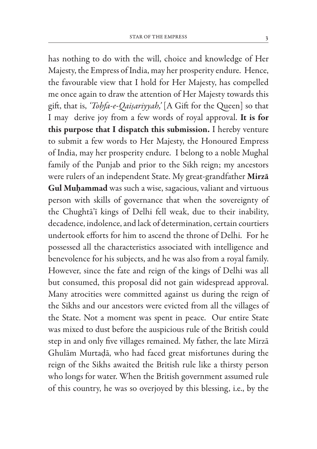has nothing to do with the will, choice and knowledge of Her Majesty, the Empress of India, may her prosperity endure. Hence, the favourable view that I hold for Her Majesty, has compelled me once again to draw the attention of Her Majesty towards this gift, that is, *'Tohfa-e-Qaisariyyah,'* [A Gift for the Queen] so that I may derive joy from a few words of royal approval. It is for this purpose that I dispatch this submission. I hereby venture to submit a few words to Her Majesty, the Honoured Empress of India, may her prosperity endure. I belong to a noble Mughal family of the Punjab and prior to the Sikh reign; my ancestors were rulers of an independent State. My great-grandfather Mirza Gul Muhammad was such a wise, sagacious, valiant and virtuous person with skills of governance that when the sovereignty of the Chughta'i kings of Delhi fell weak, due to their inability, decadence, indolence, and lack of determination, certain courtiers undertook efforts for him to ascend the throne of Delhi. For he possessed all the characteristics associated with intelligence and benevolence for his subjects, and he was also from a royal family. However, since the fate and reign of the kings of Delhi was all but consumed, this proposal did not gain widespread approval. Many atrocities were committed against us during the reign of the Sikhs and our ancestors were evicted from all the villages of the State. Not a moment was spent in peace. Our entire State was mixed to dust before the auspicious rule of the British could step in and only five villages remained. My father, the late Mirza Ghulam Murtada, who had faced great misfortunes during the reign of the Sikhs awaited the British rule like a thirsty person who longs for water. When the British government assumed rule of this country, he was so overjoyed by this blessing, i.e., by the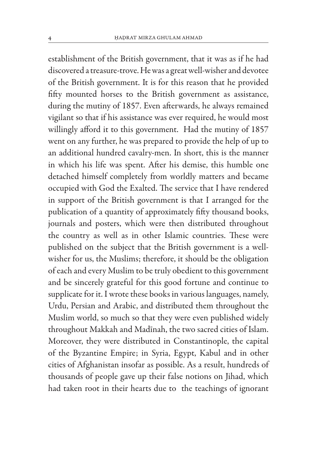establishment of the British government, that it was as if he had discovered a treasure-trove. He was a great well-wisher and devotee of the British government. It is for this reason that he provided fifty mounted horses to the British government as assistance, during the mutiny of 1857. Even afterwards, he always remained vigilant so that if his assistance was ever required, he would most willingly afford it to this government. Had the mutiny of 1857 went on any further, he was prepared to provide the help of up to an additional hundred cavalry-men. In short, this is the manner in which his life was spent. After his demise, this humble one detached himself completely from worldly matters and became occupied with God the Exalted. The service that I have rendered in support of the British government is that I arranged for the publication of a quantity of approximately fifty thousand books, journals and posters, which were then distributed throughout the country as well as in other Islamic countries. These were published on the subject that the British government is a wellwisher for us, the Muslims; therefore, it should be the obligation of each and every Muslim to be truly obedient to this government and be sincerely grateful for this good fortune and continue to supplicate for it. I wrote these books in various languages, namely, Urdu, Persian and Arabic, and distributed them throughout the Muslim world, so much so that they were even published widely throughout Makkah and Madinah, the two sacred cities of Islam. Moreover, they were distributed in Constantinople, the capital of the Byzantine Empire; in Syria, Egypt, Kabul and in other cities of Afghanistan insofar as possible. As a result, hundreds of thousands of people gave up their false notions on Jihad, which had taken root in their hearts due to the teachings of ignorant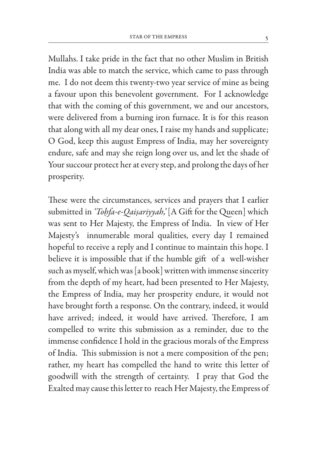Mullahs. I take pride in the fact that no other Muslim in British India was able to match the service, which came to pass through me. I do not deem this twenty-two year service of mine as being a favour upon this benevolent government. For I acknowledge that with the coming of this government, we and our ancestors, were delivered from a burning iron furnace. It is for this reason that along with all my dear ones, I raise my hands and supplicate; O God, keep this august Empress of India, may her sovereignty endure, safe and may she reign long over us, and let the shade of Your succour protect her at every step, and prolong the days of her prosperity.

These were the circumstances, services and prayers that I earlier submitted in *'Tohfa-e-Qaisariyyah,'* [A Gift for the Queen] which was sent to Her Majesty, the Empress of India. In view of Her Majesty's innumerable moral qualities, every day I remained hopeful to receive a reply and I continue to maintain this hope. I believe it is impossible that if the humble gift of a well-wisher such as myself, which was [a book] written with immense sincerity from the depth of my heart, had been presented to Her Majesty, the Empress of India, may her prosperity endure, it would not have brought forth a response. On the contrary, indeed, it would have arrived; indeed, it would have arrived. Therefore, I am compelled to write this submission as a reminder, due to the immense confidence I hold in the gracious morals of the Empress of India. This submission is not a mere composition of the pen; rather, my heart has compelled the hand to write this letter of goodwill with the strength of certainty. I pray that God the Exalted may cause this letter to reach Her Majesty, the Empress of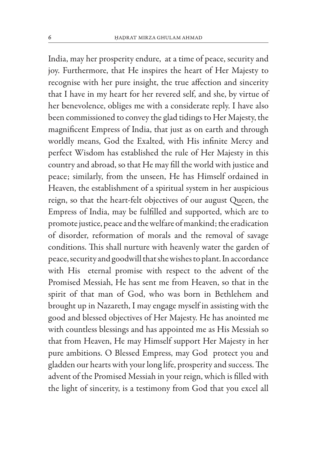India, may her prosperity endure, at a time of peace, security and joy. Furthermore, that He inspires the heart of Her Majesty to recognise with her pure insight, the true affection and sincerity that I have in my heart for her revered self, and she, by virtue of her benevolence, obliges me with a considerate reply. I have also been commissioned to convey the glad tidings to Her Majesty, the magnificent Empress of India, that just as on earth and through worldly means, God the Exalted, with His infinite Mercy and perfect Wisdom has established the rule of Her Majesty in this country and abroad, so that He may fill the world with justice and peace; similarly, from the unseen, He has Himself ordained in Heaven, the establishment of a spiritual system in her auspicious reign, so that the heart-felt objectives of our august Queen, the Empress of India, may be fulfilled and supported, which are to promote justice, peace and the welfare of mankind; the eradication of disorder, reformation of morals and the removal of savage conditions. This shall nurture with heavenly water the garden of peace, security and goodwill that she wishes to plant. In accordance with His eternal promise with respect to the advent of the Promised Messiah, He has sent me from Heaven, so that in the spirit of that man of God, who was born in Bethlehem and brought up in Nazareth, I may engage myself in assisting with the good and blessed objectives of Her Majesty. He has anointed me with countless blessings and has appointed me as His Messiah so that from Heaven, He may Himself support Her Majesty in her pure ambitions. O Blessed Empress, may God protect you and gladden our hearts with your long life, prosperity and success. The advent of the Promised Messiah in your reign, which is filled with the light of sincerity, is a testimony from God that you excel all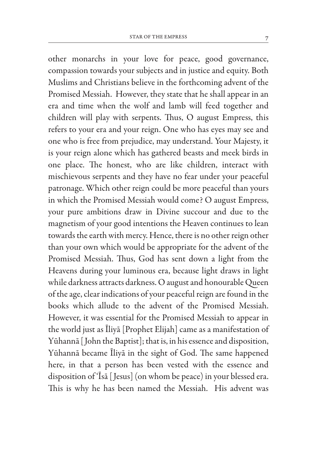other monarchs in your love for peace, good governance, compassion towards your subjects and in justice and equity. Both Muslims and Christians believe in the forthcoming advent of the Promised Messiah. However, they state that he shall appear in an era and time when the wolf and lamb will feed together and children will play with serpents. Thus, O august Empress, this refers to your era and your reign. One who has eyes may see and one who is free from prejudice, may understand. Your Majesty, it is your reign alone which has gathered beasts and meek birds in one place. The honest, who are like children, interact with mischievous serpents and they have no fear under your peaceful patronage. Which other reign could be more peaceful than yours in which the Promised Messiah would come? O august Empress, your pure ambitions draw in Divine succour and due to the magnetism of your good intentions the Heaven continues to lean towards the earth with mercy. Hence, there is no other reign other than your own which would be appropriate for the advent of the Promised Messiah. Thus, God has sent down a light from the Heavens during your luminous era, because light draws in light while darkness attracts darkness. O august and honourable Queen of the age, clear indications of your peaceful reign are found in the books which allude to the advent of the Promised Messiah. However, it was essential for the Promised Messiah to appear in the world just as Iliya [Prophet Elijah] came as a manifestation of Yūhannā [John the Baptist]; that is, in his essence and disposition, Yuhanna became Iliya in the sight of God. The same happened here, in that a person has been vested with the essence and disposition of 'Isa [ Jesus] (on whom be peace) in your blessed era. This is why he has been named the Messiah. His advent was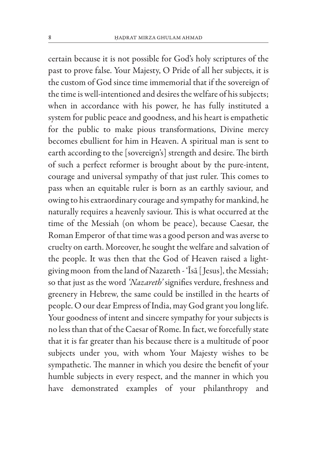certain because it is not possible for God's holy scriptures of the past to prove false. Your Majesty, O Pride of all her subjects, it is the custom of God since time immemorial that if the sovereign of the time is well-intentioned and desires the welfare of his subjects; when in accordance with his power, he has fully instituted a system for public peace and goodness, and his heart is empathetic for the public to make pious transformations, Divine mercy becomes ebullient for him in Heaven. A spiritual man is sent to earth according to the [sovereign's] strength and desire. The birth of such a perfect reformer is brought about by the pure-intent, courage and universal sympathy of that just ruler. This comes to pass when an equitable ruler is born as an earthly saviour, and owing to his extraordinary courage and sympathy for mankind, he naturally requires a heavenly saviour. This is what occurred at the time of the Messiah (on whom be peace), because Caesar, the Roman Emperor of that time was a good person and was averse to cruelty on earth. Moreover, he sought the welfare and salvation of the people. It was then that the God of Heaven raised a lightgiving moon from the land of Nazareth - 'Isa [ Jesus], the Messiah; so that just as the word *'Nazareth'* signifies verdure, freshness and greenery in Hebrew, the same could be instilled in the hearts of people. O our dear Empress of India, may God grant you long life. Your goodness of intent and sincere sympathy for your subjects is no less than that of the Caesar of Rome. In fact, we forcefully state that it is far greater than his because there is a multitude of poor subjects under you, with whom Your Majesty wishes to be sympathetic. The manner in which you desire the benefit of your humble subjects in every respect, and the manner in which you have demonstrated examples of your philanthropy and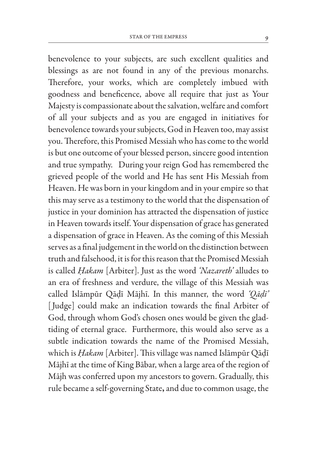benevolence to your subjects, are such excellent qualities and blessings as are not found in any of the previous monarchs. Therefore, your works, which are completely imbued with goodness and beneficence, above all require that just as Your Majesty is compassionate about the salvation, welfare and comfort of all your subjects and as you are engaged in initiatives for benevolence towards your subjects, God in Heaven too, may assist you. Therefore, this Promised Messiah who has come to the world is but one outcome of your blessed person, sincere good intention and true sympathy. During your reign God has remembered the grieved people of the world and He has sent His Messiah from Heaven. He was born in your kingdom and in your empire so that this may serve as a testimony to the world that the dispensation of justice in your dominion has attracted the dispensation of justice in Heaven towards itself. Your dispensation of grace has generated a dispensation of grace in Heaven. As the coming of this Messiah serves as a final judgement in the world on the distinction between truth and falsehood, it is for this reason that the Promised Messiah is called *Hakam* [Arbiter]. Just as the word *'Nazareth'* alludes to an era of freshness and verdure, the village of this Messiah was called Islampur Qadi Majhi. In this manner, the word *'Qadi'* [Judge] could make an indication towards the final Arbiter of God, through whom God's chosen ones would be given the gladtiding of eternal grace. Furthermore, this would also serve as a subtle indication towards the name of the Promised Messiah, which is *Hakam* [Arbiter]. This village was named Islāmpūr Qādī Majhi at the time of King Babar, when a large area of the region of Majh was conferred upon my ancestors to govern. Gradually, this rule became a self-governing State, and due to common usage, the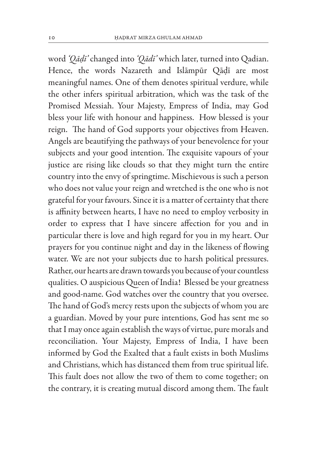word *'Qadi'* changed into *'Qadi'* which later, turned into Qadian. Hence, the words Nazareth and Islampur Qadi are most meaningful names. One of them denotes spiritual verdure, while the other infers spiritual arbitration, which was the task of the Promised Messiah. Your Majesty, Empress of India, may God bless your life with honour and happiness. How blessed is your reign. The hand of God supports your objectives from Heaven. Angels are beautifying the pathways of your benevolence for your subjects and your good intention. The exquisite vapours of your justice are rising like clouds so that they might turn the entire country into the envy of springtime. Mischievous is such a person who does not value your reign and wretched is the one who is not grateful for your favours. Since it is a matter of certainty that there is affinity between hearts, I have no need to employ verbosity in order to express that I have sincere affection for you and in particular there is love and high regard for you in my heart. Our prayers for you continue night and day in the likeness of flowing water. We are not your subjects due to harsh political pressures. Rather, our hearts are drawn towards you because of your countless qualities. O auspicious Queen of India! Blessed be your greatness and good-name. God watches over the country that you oversee. The hand of God's mercy rests upon the subjects of whom you are a guardian. Moved by your pure intentions, God has sent me so that I may once again establish the ways of virtue, pure morals and reconciliation. Your Majesty, Empress of India, I have been informed by God the Exalted that a fault exists in both Muslims and Christians, which has distanced them from true spiritual life. This fault does not allow the two of them to come together; on the contrary, it is creating mutual discord among them. The fault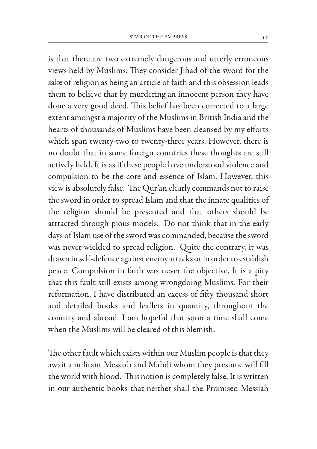is that there are two extremely dangerous and utterly erroneous views held by Muslims. They consider Jihad of the sword for the sake of religion as being an article of faith and this obsession leads them to believe that by murdering an innocent person they have done a very good deed. This belief has been corrected to a large extent amongst a majority of the Muslims in British India and the hearts of thousands of Muslims have been cleansed by my efforts which span twenty-two to twenty-three years. However, there is no doubt that in some foreign countries these thoughts are still actively held. It is as if these people have understood violence and compulsion to be the core and essence of Islam. However, this view is absolutely false. The Qur'an clearly commands not to raise the sword in order to spread Islam and that the innate qualities of the religion should be presented and that others should be attracted through pious models. Do not think that in the early days of Islam use of the sword was commanded, because the sword was never wielded to spread religion. Quite the contrary, it was drawn in self-defence against enemy attacks or in order to establish peace. Compulsion in faith was never the objective. It is a pity that this fault still exists among wrongdoing Muslims. For their reformation, I have distributed an excess of fifty thousand short and detailed books and leaflets in quantity, throughout the country and abroad. I am hopeful that soon a time shall come when the Muslims will be cleared of this blemish.

The other fault which exists within our Muslim people is that they await a militant Messiah and Mahdi whom they presume will fill the world with blood. This notion is completely false. It is written in our authentic books that neither shall the Promised Messiah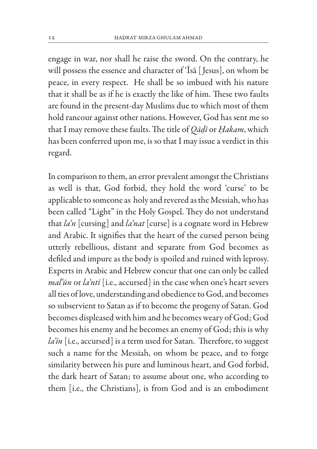engage in war, nor shall he raise the sword. On the contrary, he will possess the essence and character of 'Isa [Jesus], on whom be peace, in every respect. He shall be so imbued with his nature that it shall be as if he is exactly the like of him. These two faults are found in the present-day Muslims due to which most of them hold rancour against other nations. However, God has sent me so that I may remove these faults. The title of *Qadi* or *Hakam*, which has been conferred upon me, is so that I may issue a verdict in this regard.

In comparison to them, an error prevalent amongst the Christians as well is that, God forbid, they hold the word 'curse' to be applicable to someone as holy and revered as the Messiah, who has been called "Light" in the Holy Gospel. They do not understand that *la'n* [cursing] and *la'nat* [curse] is a cognate word in Hebrew and Arabic. It signifies that the heart of the cursed person being utterly rebellious, distant and separate from God becomes as defiled and impure as the body is spoiled and ruined with leprosy. Experts in Arabic and Hebrew concur that one can only be called *mal'un* or *la'nti* [i.e., accursed] in the case when one's heart severs all ties of love, understanding and obedience to God, and becomes so subservient to Satan as if to become the progeny of Satan. God becomes displeased with him and he becomes weary of God; God becomes his enemy and he becomes an enemy of God; this is why *la'in* [i.e., accursed] is a term used for Satan. Therefore, to suggest such a name for the Messiah, on whom be peace, and to forge similarity between his pure and luminous heart, and God forbid, the dark heart of Satan; to assume about one, who according to them [i.e., the Christians], is from God and is an embodiment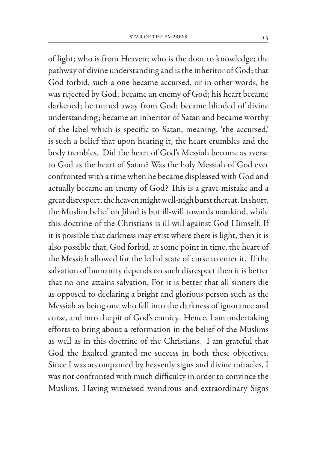of light; who is from Heaven; who is the door to knowledge; the pathway of divine understanding and is the inheritor of God; that God forbid, such a one became accursed, or in other words, he was rejected by God; became an enemy of God; his heart became darkened; he turned away from God; became blinded of divine understanding; became an inheritor of Satan and became worthy of the label which is specific to Satan, meaning, 'the accursed,' is such a belief that upon hearing it, the heart crumbles and the body trembles. Did the heart of God's Messiah become as averse to God as the heart of Satan? Was the holy Messiah of God ever confronted with a time when he became displeased with God and actually became an enemy of God? This is a grave mistake and a great disrespect; the heaven might well-nigh burst thereat. In short, the Muslim belief on Jihad is but ill-will towards mankind, while this doctrine of the Christians is ill-will against God Himself. If it is possible that darkness may exist where there is light, then it is also possible that, God forbid, at some point in time, the heart of the Messiah allowed for the lethal state of curse to enter it. If the salvation of humanity depends on such disrespect then it is better that no one attains salvation. For it is better that all sinners die as opposed to declaring a bright and glorious person such as the Messiah as being one who fell into the darkness of ignorance and curse, and into the pit of God's enmity. Hence, I am undertaking efforts to bring about a reformation in the belief of the Muslims as well as in this doctrine of the Christians. I am grateful that God the Exalted granted me success in both these objectives. Since I was accompanied by heavenly signs and divine miracles, I was not confronted with much difficulty in order to convince the Muslims. Having witnessed wondrous and extraordinary Signs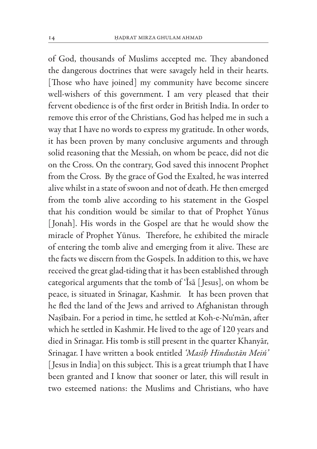of God, thousands of Muslims accepted me. They abandoned the dangerous doctrines that were savagely held in their hearts. [Those who have joined] my community have become sincere well-wishers of this government. I am very pleased that their fervent obedience is of the first order in British India. In order to remove this error of the Christians, God has helped me in such a way that I have no words to express my gratitude. In other words, it has been proven by many conclusive arguments and through solid reasoning that the Messiah, on whom be peace, did not die on the Cross. On the contrary, God saved this innocent Prophet from the Cross. By the grace of God the Exalted, he was interred alive whilst in a state of swoon and not of death. He then emerged from the tomb alive according to his statement in the Gospel that his condition would be similar to that of Prophet Yūnus [Jonah]. His words in the Gospel are that he would show the miracle of Prophet Yūnus. Therefore, he exhibited the miracle of entering the tomb alive and emerging from it alive. These are the facts we discern from the Gospels. In addition to this, we have received the great glad-tiding that it has been established through categorical arguments that the tomb of 'Isa [ Jesus], on whom be peace, is situated in Srinagar, Kashmir. It has been proven that he fled the land of the Jews and arrived to Afghanistan through Nasibain. For a period in time, he settled at Koh-e-Nu'man, after which he settled in Kashmir. He lived to the age of 120 years and died in Srinagar. His tomb is still present in the quarter Khanyar, Srinagar. I have written a book entitled *'Masih Hindustan Mein'* [ Jesus in India] on this subject. This is a great triumph that I have been granted and I know that sooner or later, this will result in two esteemed nations: the Muslims and Christians, who have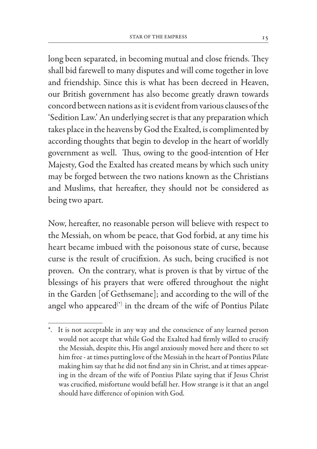long been separated, in becoming mutual and close friends. They shall bid farewell to many disputes and will come together in love and friendship. Since this is what has been decreed in Heaven, our British government has also become greatly drawn towards concord between nations as it is evident from various clauses of the 'Sedition Law.' An underlying secret is that any preparation which takes place in the heavens by God the Exalted, is complimented by according thoughts that begin to develop in the heart of worldly government as well. Thus, owing to the good-intention of Her Majesty, God the Exalted has created means by which such unity may be forged between the two nations known as the Christians and Muslims, that hereafter, they should not be considered as being two apart.

Now, hereafter, no reasonable person will believe with respect to the Messiah, on whom be peace, that God forbid, at any time his heart became imbued with the poisonous state of curse, because curse is the result of crucifixion. As such, being crucified is not proven. On the contrary, what is proven is that by virtue of the blessings of his prayers that were offered throughout the night in the Garden [of Gethsemane]; and according to the will of the angel who appeared $\zeta^{(*)}$  in the dream of the wife of Pontius Pilate

<sup>\*.</sup> It is not acceptable in any way and the conscience of any learned person would not accept that while God the Exalted had firmly willed to crucify the Messiah, despite this, His angel anxiously moved here and there to set him free - at times putting love of the Messiah in the heart of Pontius Pilate making him say that he did not find any sin in Christ, and at times appearing in the dream of the wife of Pontius Pilate saying that if Jesus Christ was crucified, misfortune would befall her. How strange is it that an angel should have difference of opinion with God.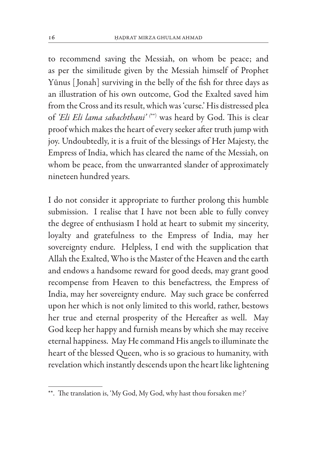to recommend saving the Messiah, on whom be peace; and as per the similitude given by the Messiah himself of Prophet Yūnus [Jonah] surviving in the belly of the fish for three days as an illustration of his own outcome, God the Exalted saved him from the Cross and its result, which was 'curse.' His distressed plea of *'Eli Eli lama sabachthani' (*\*\*) was heard by God. This is clear proof which makes the heart of every seeker after truth jump with joy. Undoubtedly, it is a fruit of the blessings of Her Majesty, the Empress of India, which has cleared the name of the Messiah, on whom be peace, from the unwarranted slander of approximately nineteen hundred years.

I do not consider it appropriate to further prolong this humble submission. I realise that I have not been able to fully convey the degree of enthusiasm I hold at heart to submit my sincerity, loyalty and gratefulness to the Empress of India, may her sovereignty endure. Helpless, I end with the supplication that Allah the Exalted, Who is the Master of the Heaven and the earth and endows a handsome reward for good deeds, may grant good recompense from Heaven to this benefactress, the Empress of India, may her sovereignty endure. May such grace be conferred upon her which is not only limited to this world, rather, bestows her true and eternal prosperity of the Hereafter as well. May God keep her happy and furnish means by which she may receive eternal happiness. May He command His angels to illuminate the heart of the blessed Queen, who is so gracious to humanity, with revelation which instantly descends upon the heart like lightening

<sup>\*\*.</sup> The translation is, 'My God, My God, why hast thou forsaken me?'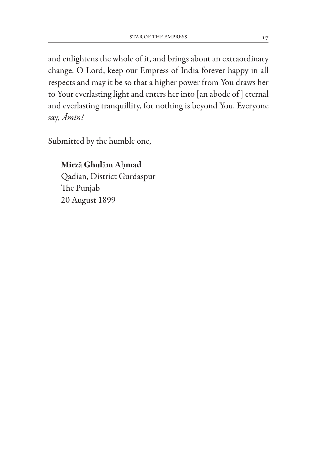and enlightens the whole of it, and brings about an extraordinary change. O Lord, keep our Empress of India forever happy in all respects and may it be so that a higher power from You draws her to Your everlasting light and enters her into [an abode of ] eternal and everlasting tranquillity, for nothing is beyond You. Everyone say, *Amin!*

Submitted by the humble one,

Mirza Ghulam Ahmad Qadian, District Gurdaspur The Punjab 20 August 1899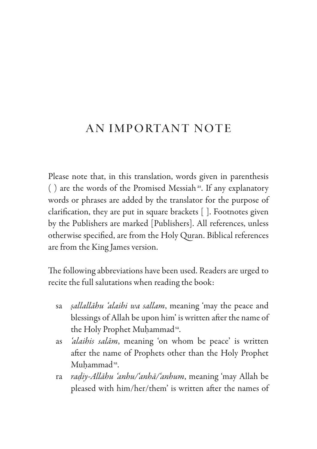## An Important Note

Please note that, in this translation, words given in parenthesis ( $)$  are the words of the Promised Messiah<sup>as</sup>. If any explanatory words or phrases are added by the translator for the purpose of clarification, they are put in square brackets [ ]. Footnotes given by the Publishers are marked [Publishers]. All references, unless otherwise specified, are from the Holy Quran. Biblical references are from the King James version.

The following abbreviations have been used. Readers are urged to recite the full salutations when reading the book:

- sa *sallallahu 'alaihi wa sallam*, meaning 'may the peace and blessings of Allah be upon him' is written after the name of the Holy Prophet Muhammad<sup>sa</sup>.
- as *'alaihis salam*, meaning 'on whom be peace' is written after the name of Prophets other than the Holy Prophet Muhammad<sup>sa</sup>.
- ra *radiy-Allahu 'anhu/'anha/'anhum*, meaning 'may Allah be pleased with him/her/them' is written after the names of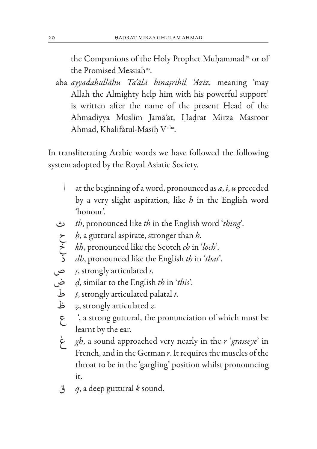the Companions of the Holy Prophet Muhammad sa or of the Promised Messiah<sup>as</sup>.

aba *ayyadahullahu Ta'ala binasrihil 'Aziz*, meaning 'may Allah the Almighty help him with his powerful support' is written after the name of the present Head of the Ahmadiyya Muslim Jama'at, Hadrat Mirza Masroor Ahmad, Khalifātul-Masīh V<sup>aba</sup>.

In transliterating Arabic words we have followed the following system adopted by the Royal Asiatic Society.

- ا at the beginning of a word, pronounced as *a*, *i*, *u* preceded by a very slight aspiration, like *h* in the English word 'honour'.
- ث *th*, pronounced like *th* in the English word '*thing*'*.*
- ح *h*, a guttural aspirate, stronger than *h.*
- خ *kh*, pronounced like the Scotch *ch* in '*loch*'*.*
- ذ *dh*, pronounced like the English *th* in '*that*'*.*
- ص *s*, strongly articulated *s.*
- ض *d*, similar to the English *th* in '*this*'*.*
- ط *t*, strongly articulated palatal *t.*
- ظ *z*, strongly articulated *z.*
	- ع' , a strong guttural, the pronunciation of which must be learnt by the ear.
	- غ *gh*, a sound approached very nearly in the *r* '*grasseye*' in French, and in the German *r*. It requires the muscles of the throat to be in the 'gargling' position whilst pronouncing it.
	- ق *q*, a deep guttural *k* sound.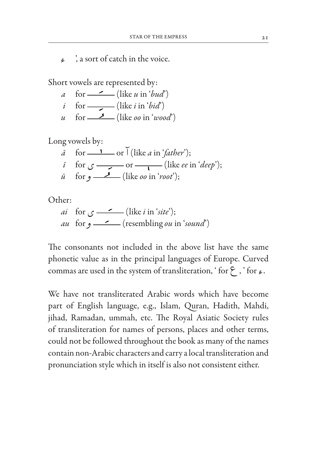ء' , a sort of catch in the voice.

Short vowels are represented by:

- *a* for  $\frac{\ }{2}$  (like *u* in '*bud*')
- *i* for  $\qquad \qquad$  (like *i* in '*bid*')
- *u* for  $\frac{1}{\sqrt{2}}$  (like *oo* in '*wood*')

Long vowels by:

 $\bar{a}$  for <u>one is</u> or  $\bar{C}$  (like *a* in '*father*');  $i \quad$  for  $\zeta \longrightarrow$  or  $\longrightarrow$  (like *ee* in '*deep*');  $\bar{u}$  for  $\phi \rightarrow$  (like *oo* in '*root*');

Other:

*ai* for  $\zeta$  - (like *i* in '*site*'); *au* for و) resembling *ou* in '*sound*')

The consonants not included in the above list have the same phonetic value as in the principal languages of Europe. Curved commas are used in the system of transliteration, ' for  $\zeta$ , ' for  $\zeta$ .

We have not transliterated Arabic words which have become part of English language, e.g., Islam, Quran, Hadith, Mahdi, jihad, Ramadan, ummah, etc. The Royal Asiatic Society rules of transliteration for names of persons, places and other terms, could not be followed throughout the book as many of the names contain non-Arabic characters and carry a local transliteration and pronunciation style which in itself is also not consistent either.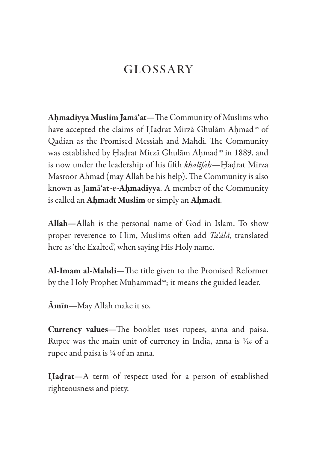## GLOSSARY

Ahmadiyya Muslim Jama'at—The Community of Muslims who have accepted the claims of Hadrat Mirzā Ghulām Ahmad<sup>as</sup> of Qadian as the Promised Messiah and Mahdi. The Community was established by Hadrat Mirzā Ghulām Ahmad<sup>as</sup> in 1889, and is now under the leadership of his fifth *khalifah*—Hadrat Mirza Masroor Ahmad (may Allah be his help). The Community is also known as Jama'at-e-Ahmadiyya. A member of the Community is called an Ahmadi Muslim or simply an Ahmadi.

All**a**h—Allah is the personal name of God in Islam. To show proper reverence to Him, Muslims often add *Ta'ala*, translated here as 'the Exalted', when saying His Holy name.

Al-Imam al-Mahdi—The title given to the Promised Reformer by the Holy Prophet Muhammad<sup>sa</sup>; it means the guided leader.

Amin—May Allah make it so.

Currency values—The booklet uses rupees, anna and paisa. Rupee was the main unit of currency in India, anna is 1/16 of a rupee and paisa is 1⁄4 of an anna.

Hadrat—A term of respect used for a person of established righteousness and piety.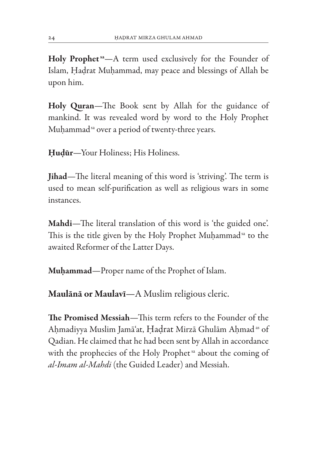Holy Prophet<sup>53</sup>-A term used exclusively for the Founder of Islam, Hadrat Muhammad, may peace and blessings of Allah be upon him.

Holy Quran—The Book sent by Allah for the guidance of mankind. It was revealed word by word to the Holy Prophet Muhammad<sup>sa</sup> over a period of twenty-three years.

Hudūr—Your Holiness; His Holiness.

Jihad—The literal meaning of this word is 'striving'. The term is used to mean self-purification as well as religious wars in some instances.

Mahdi—The literal translation of this word is 'the guided one'. This is the title given by the Holy Prophet Muhammad<sup>sa</sup> to the awaited Reformer of the Latter Days.

Muhammad—Proper name of the Prophet of Islam.

Maulana or Maulavi—A Muslim religious cleric.

The Promised Messiah—This term refers to the Founder of the Ahmadiyya Muslim Jama'at, Hadrat Mirza Ghulam Ahmad as of Qadian. He claimed that he had been sent by Allah in accordance with the prophecies of the Holy Prophet<sup>5a</sup> about the coming of *al-Imam al-Mahdi* (the Guided Leader) and Messiah.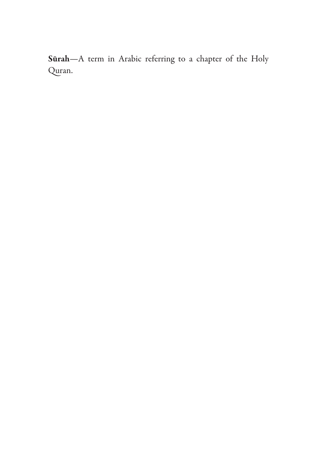Sūrah-A term in Arabic referring to a chapter of the Holy Quran.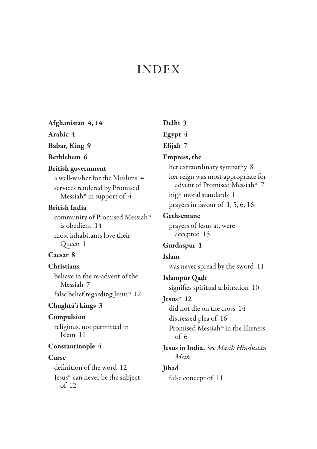## **INDEX**

#### Afghanistan 4, 14

Arabic 4

Babar, King 9

#### Bethlehem 6

#### British government

a well-wisher for the Muslims 4 services rendered by Promised Messiah<sup>as</sup> in support of  $4$ 

#### British India

community of Promised Messiah<sup>as</sup> is obedient 14 most inhabitants love their Queen 1

#### Caesar 8

#### **Christians**

believe in the re-advent of the Messiah 7 false belief regarding Jesus<sup>as</sup> 12

#### Chughta'i kings 3

#### Compulsion

religious, not permitted in Islam 11

#### Constantinople 4

#### **Curse**

definition of the word 12 Jesus<sup>as</sup> can never be the subject of 12

Delhi 3 Egypt 4 Elijah 7 Empress, the her extraordinary sympathy 8 her reign was most appropriate for advent of Promised Messiah<sup>as</sup> 7 high moral standards 1 prayers in favour of 1, 5, 6, 16 Gethsemane prayers of Jesus at, were accepted 15 Gurdaspur 1 Islam was never spread by the sword 11 Islampur Qadi signifies spiritual arbitration 10 Jesus<sup>as</sup> 12 did not die on the cross 14 distressed plea of 16 Promised Messiah<sup>as</sup> in the likeness  $of 6$ Jesus in India. *See Masih Hindustan* 

*Mein*

#### Jihad

false concept of 11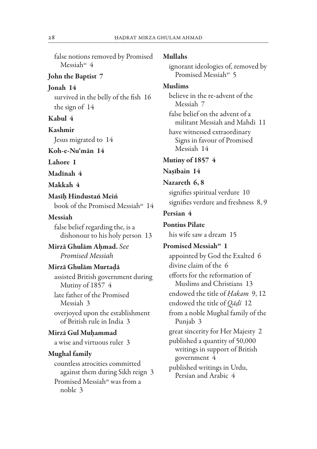false notions removed by Promised Messiah<sup>as</sup> 4

#### John the Baptist 7

Jonah 14 survived in the belly of the fish 16 the sign of 14

Kabul 4

Kashmir

Jesus migrated to 14

Koh-e-Nu'man 14

Lahore 1

Madinah 4

Makkah 4

Masih Hindustan Mein book of the Promised Messiahas 14

#### Messiah

false belief regarding the, is a dishonour to his holy person 13

Mirza Ghulam Ahmad. *See Promised Messiah*

#### Mirza Ghulam Murtada

assisted British government during Mutiny of 1857 4

late father of the Promised Messiah 3

overjoyed upon the establishment of British rule in India 3

#### Mirza Gul Muhammad

a wise and virtuous ruler 3

#### Mughal family

countless atrocities committed against them during Sikh reign 3 Promised Messiahas was from a noble 3

#### Mullahs

ignorant ideologies of, removed by Promised Messiah<sup>as</sup> 5

#### Muslims

believe in the re-advent of the Messiah 7

false belief on the advent of a militant Messiah and Mahdi 11

have witnessed extraordinary Signs in favour of Promised Messiah 14

#### Mutiny of 1857 4

#### Nasibain 14

#### Nazareth 6, 8

signifies spiritual verdure 10 signifies verdure and freshness 8, 9

#### Persian 4

Pontius Pilate his wife saw a dream 15

Promised Messiah<sup>as</sup> 1 appointed by God the Exalted 6 divine claim of the 6 efforts for the reformation of Muslims and Christians 13 endowed the title of *Hakam* 9, 12 endowed the title of *Qadi* 12 from a noble Mughal family of the Punjab 3 great sincerity for Her Majesty 2 published a quantity of 50,000 writings in support of British government 4 published writings in Urdu, Persian and Arabic 4